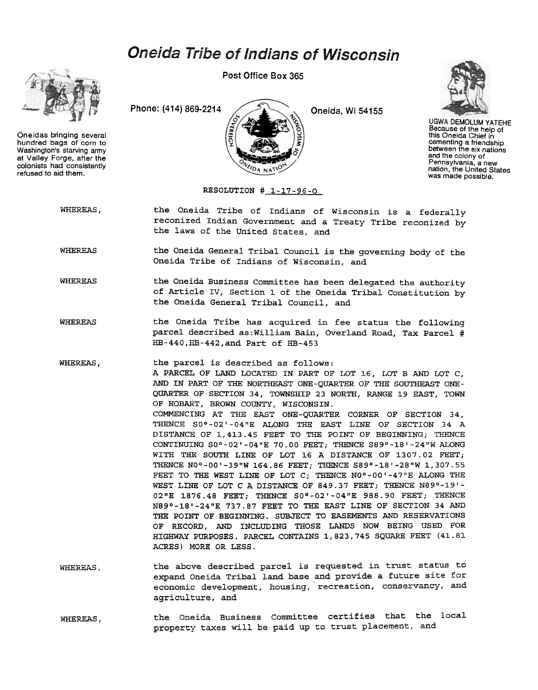## Oneida Tribe of Indians of Wisconsin



Oneidas bringing several hundred bags of corn to Washington's starving army at Valley Forge. after the colonists had consistently refused to aid them.

Post Office Box 365





UGWA DEMOLUM YATEHE Because of the help of this Oneida Chief in cementing a friendship between the six nations and the colony of Pennsylvania, a new nation, the United States was made possible.

RESOLUTION # 1-17-96-0

FIDA NATIC

WHEREAS, the Oneida Tribe of Indians of Wisconsin is a federally reconized Indian Government and a Treaty Tribe reconized by the laws of the United States, and

WHEREAS the Oneida General Tribal Council is the governing body of the Oneida Tribe of Indians of Wisconsin, and

- WHEREAS the Oneida Business Committee has been delegated the authority of Article IV, Section 1 of the Oneida Tribal Constitution by the Oneida General Tribal Council, and
- WHEREAS the Oneida Tribe has acquired in fee status the following parcel described as:William Bain, Overland Road, Tax Parcel # HB-440,HB-442,and Part of HB-453

WHEREAS, the parcel is described as follows: A PARCEL OF LAND LOCATED IN PART OF LOT 16, LOT B AND LOT C, AND IN PART OF THE NORTHEAST ONE-QUARTER OF THE SOUTHEAST ONE-QUARTER OF SECTION 34, TOWNSHIP 23 NORTH, RANGE 19 EAST, TOWN OF HOBART, BROWN COUNTY, WISCONSIN. COMMENCING AT THE EAST ONE-QUARTER CORNER OF SECTION 34, THENCE Soo-02'-04"E ALONG THE EAST LINE OF SECTION 34 A DISTANCE OF 1,413.45 FEET TO THE POINT OF BEGINNING; THENCE CONTINUING Soo-02'-04"E 70.00 FEET; THENCE S89°-18'-24"W ALONG WITH THE SOUTH LINE OF LOT 16 A DISTANCE OF 1307.02 FEET; THENCE N0°-00'-39"W 164.86 FEET; THENCE S89°-18'-28"W 1,307.55 FEET TO THE WEST LINE OF LOT C; THENCE N0°-00'-47"E ALONG THE WEST LINE OF LOT C A DISTANCE OF 849.37 FEET; THENCE N89°-19'- 02"E 1876.48 FEET; THENCE S0°-02'-04"E 988.90 FEET; THENCE N89°-18'-24"E 737.87 FEET TO THE EAST LINE OF SECTION 34 AND THE POINT OF BEGINNING. SUBJECT TO EASEMENTS AND RESERVATIONS OF RECORD, AND INCLUDING THOSE LANDS NOW BEING USED FOR HIGHWAY PURPOSES. PARCEL CONTAINS 1,823,745 SQUARE FEET (41.81 ACRES) MORE OR LESS.

- the above described parcel is requested in trust status to expand Oneida Tribal land base and provide a future site for economic development, housing, recreation, conservancy, and agriculture, and WHEREAS,
- the oneida Business Committee certifies that the local WHEREAS, the Oneida Business Committee certifies that the university taxes will be paid up to trust placement, and